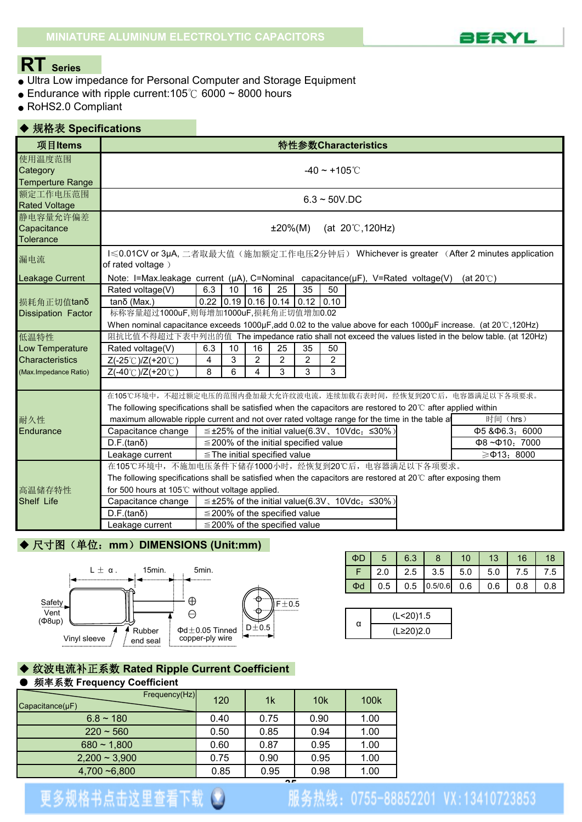

### **RT Series**

- Ultra Low impedance for Personal Computer and Storage Equipment
- $\bullet$  Endurance with ripple current:105℃ 6000 ~ 8000 hours
- RoHS2.0 Compliant

#### ◆ 规格表 **Specifications 项目Items | まずまで | インスティング | およびの過ごす | おおおおおおおお 特性参数 Characteristics** 使用温度范围 Category  $-40 \sim +105$ °C Temperture Range 额定工作电压范围<br>Bated Veltage Rated Voltage 静电容量允许偏差  $\text{Capacitance}$   $\text{±}20\%(\text{M})$  (at 20°C,120Hz) **Tolerance** 漏电流 I≤0.01CV or 3μA, 二者取最大值(施加额定工作电压2分钟后) Whichever is greater (After 2 minutes application of rated voltage ) Leakage Current | Note: I=Max.leakage current (μA), C=Nominal capacitance(μF), V=Rated voltage(V) (at 20℃) Rated voltage(V) 6.3 10 16 25 35 50 损耗角正切值tanδ tanδ (Max.) | 0.22 0.19 0.16 0.14 0.12 0.10 Dissipation Factor 标称容量超过1000uF,则每增加1000uF,损耗角正切值增加0.02

|                        | When nominal capacitance exceeds 1000µF,add 0.02 to the value above for each 1000µF increase. (at 20°C,120Hz)         |     |    |    |                                            |    |    |                                                     |                                                                                                       |
|------------------------|-----------------------------------------------------------------------------------------------------------------------|-----|----|----|--------------------------------------------|----|----|-----------------------------------------------------|-------------------------------------------------------------------------------------------------------|
| 低温特性                   |                                                                                                                       |     |    |    |                                            |    |    |                                                     | 阻抗比值不得超过下表中列出的值 The impedance ratio shall not exceed the values listed in the below table. (at 120Hz) |
| Low Temperature        | Rated voltage(V)                                                                                                      | 6.3 | 10 | 16 | 25                                         | 35 | 50 |                                                     |                                                                                                       |
| <b>Characteristics</b> | $Z(-25^{\circ}C)/Z(+20^{\circ}C)$                                                                                     | 4   | 3  |    |                                            | 2  |    |                                                     |                                                                                                       |
| (Max.Impedance Ratio)  | $Z(-40^{\circ}$ C $)/Z(+20^{\circ}$ C $)$                                                                             | 8   | 6  |    |                                            |    |    |                                                     |                                                                                                       |
|                        |                                                                                                                       |     |    |    |                                            |    |    |                                                     |                                                                                                       |
|                        | 在105℃环境中,不超过额定电压的范围内叠加最大允许纹波电流,连续加载右表时间,经恢复到20℃后,电容器满足以下各项要求。                                                         |     |    |    |                                            |    |    |                                                     |                                                                                                       |
|                        | The following specifications shall be satisfied when the capacitors are restored to 20 $\degree$ after applied within |     |    |    |                                            |    |    |                                                     |                                                                                                       |
| 耐久性                    | maximum allowable ripple current and not over rated voltage range for the time in the table a                         |     |    |    |                                            |    |    |                                                     | 时间 (hrs)                                                                                              |
| Endurance              | Capacitance change                                                                                                    |     |    |    |                                            |    |    | $\leq$ ±25% of the initial value(6.3V, 10Vdc, ≤30%) | $\Phi$ 5 & $\Phi$ 6.3, 6000                                                                           |
|                        | D.F.(tanδ)                                                                                                            |     |    |    | $\leq$ 200% of the initial specified value |    |    |                                                     | $\Phi$ 8~ $\Phi$ 10. 7000                                                                             |
|                        | Leakage current                                                                                                       |     |    |    | $\leq$ The initial specified value         |    |    |                                                     | $\geq 0.13$ : 8000                                                                                    |
|                        | 在105℃环境中,不施加电压条件下储存1000小时,经恢复到20℃后,电容器满足以下各项要求。                                                                       |     |    |    |                                            |    |    |                                                     |                                                                                                       |
|                        | The following specifications shall be satisfied when the capacitors are restored at 20 $\degree$ after exposing them  |     |    |    |                                            |    |    |                                                     |                                                                                                       |
| 高温储存特性                 | for 500 hours at 105 $\degree$ without voltage applied.                                                               |     |    |    |                                            |    |    |                                                     |                                                                                                       |
| Shelf Life             | Capacitance change                                                                                                    |     |    |    |                                            |    |    | $\leq$ ±25% of the initial value(6.3V, 10Vdc: ≤30%) |                                                                                                       |
|                        | D.F.(tanδ)                                                                                                            |     |    |    | $\leq$ 200% of the specified value         |    |    |                                                     |                                                                                                       |
|                        | Leakage current                                                                                                       |     |    |    | $\leq$ 200% of the specified value         |    |    |                                                     |                                                                                                       |

### ◆ 尺寸图(单位: mm) DIMENSIONS (Unit:mm)



| $\overline{\mathsf{A}}$ | 5 <sub>1</sub> | 6.3 |                     | 10 <sub>1</sub> | 13  | 16  |     |
|-------------------------|----------------|-----|---------------------|-----------------|-----|-----|-----|
|                         |                |     | $F$ 2.0 2.5 3.5 5.0 |                 | 5.0 | 7.5 | 7.5 |
| $\Phi$ d                | 0.5            | 0.5 | 0.5/0.6             | 0.6             | 0.6 | 0.8 | 0.8 |

| (L<20)1.5 |
|-----------|
| (L≥20)2.0 |

#### ◆ 纹波电流补正系数 **Rated Ripple Current Coefficient** ● 频率系数 **Frequency Coefficient**

| Frequency(Hz)<br>$Capacitance(\mu F)$ | 120  | 1 <sub>k</sub> | 10k  | 100k |
|---------------------------------------|------|----------------|------|------|
| $6.8 \sim 180$                        | 0.40 | 0.75           | 0.90 | 1.00 |
| $220 \sim 560$                        | 0.50 | 0.85           | 0.94 | 1.00 |
| $680 - 1,800$                         | 0.60 | 0.87           | 0.95 | 1.00 |
| $2,200 \sim 3,900$                    | 0.75 | 0.90           | 0.95 | 1.00 |
| $4,700 - 6,800$                       | 0.85 | 0.95           | 0.98 | 1.00 |

# 更多规格书点击这里查看下载 3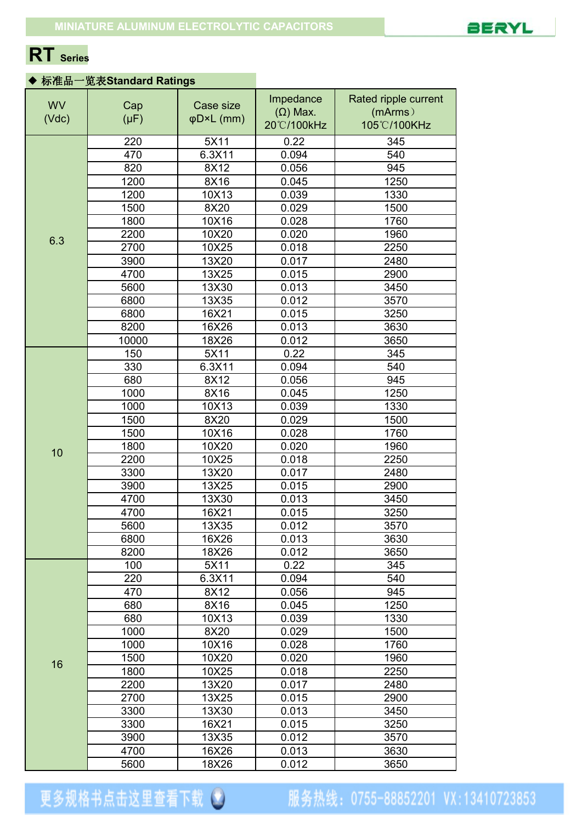

## **RT Series**

### ◆ 标准品一览表**Standard Ratings**

| 220<br>5X11<br>0.22<br>345<br>470<br>6.3X11<br>0.094<br>540<br>820<br>8X12<br>945<br>0.056<br>1200<br>8X16<br>1250<br>0.045<br>1200<br>1330<br>10X13<br>0.039<br>1500<br>8X20<br>0.029<br>1500<br>1800<br>10X16<br>0.028<br>1760<br>2200<br>10X20<br>0.020<br>1960<br>6.3<br>2700<br>10X25<br>2250<br>0.018<br>3900<br>13X20<br>0.017<br>2480<br>13X25<br>2900<br>4700<br>0.015<br>5600<br>13X30<br>0.013<br>3450<br>6800<br>13X35<br>3570<br>0.012<br>6800<br>16X21<br>0.015<br>3250<br>16X26<br>3630<br>8200<br>0.013<br>10000<br>18X26<br>3650<br>0.012<br>150<br>5X11<br>0.22<br>345<br>330<br>6.3X11<br>0.094<br>540<br>680<br>8X12<br>945<br>0.056<br>1000<br>8X16<br>1250<br>0.045<br>1000<br>10X13<br>0.039<br>1330<br>8X20<br>1500<br>1500<br>0.029<br>10X16<br>1760<br>1500<br>0.028<br>1800<br>1960<br>10X20<br>0.020<br>10<br>2200<br>10X25<br>0.018<br>2250<br>3300<br>13X20<br>0.017<br>2480<br>13X25<br>3900<br>0.015<br>2900<br>4700<br>13X30<br>0.013<br>3450<br>4700<br>16X21<br>0.015<br>3250<br>3570<br>5600<br>13X35<br>0.012<br>6800<br>16X26<br>0.013<br>3630<br>8200<br>18X26<br>3650<br>0.012<br>0.22<br>100<br>5X11<br>345<br>220<br>6.3X11<br>0.094<br>540<br>470<br>8X12<br>0.056<br>945<br>680<br>8X16<br>1250<br>0.045<br>1330<br>680<br>10X13<br>0.039<br>1000<br>8X20<br>1500<br>0.029<br>1000<br>10X16<br>1760<br>0.028<br>1500<br>10X20<br>0.020<br>1960<br>16<br>10X25<br>2250<br>1800<br>0.018<br>13X20<br>2200<br>0.017<br>2480<br>2700<br>13X25<br>2900<br>0.015<br>3300<br>13X30<br>3450<br>0.013<br>3250<br>3300<br>16X21<br>0.015<br>3900<br>13X35<br>3570<br>0.012<br>4700<br>3630<br>16X26<br>0.013 | <b>WV</b><br>(Vdc) | Cap<br>$(\mu F)$ | Case size<br>φD×L (mm) | Impedance<br>$(\Omega)$ Max. | Rated ripple current<br>(mArms) |  |
|------------------------------------------------------------------------------------------------------------------------------------------------------------------------------------------------------------------------------------------------------------------------------------------------------------------------------------------------------------------------------------------------------------------------------------------------------------------------------------------------------------------------------------------------------------------------------------------------------------------------------------------------------------------------------------------------------------------------------------------------------------------------------------------------------------------------------------------------------------------------------------------------------------------------------------------------------------------------------------------------------------------------------------------------------------------------------------------------------------------------------------------------------------------------------------------------------------------------------------------------------------------------------------------------------------------------------------------------------------------------------------------------------------------------------------------------------------------------------------------------------------------------------------------------------------------------------------------------------------------------------------------------|--------------------|------------------|------------------------|------------------------------|---------------------------------|--|
|                                                                                                                                                                                                                                                                                                                                                                                                                                                                                                                                                                                                                                                                                                                                                                                                                                                                                                                                                                                                                                                                                                                                                                                                                                                                                                                                                                                                                                                                                                                                                                                                                                                |                    |                  |                        | 20°C/100kHz                  | 105°C/100KHz                    |  |
|                                                                                                                                                                                                                                                                                                                                                                                                                                                                                                                                                                                                                                                                                                                                                                                                                                                                                                                                                                                                                                                                                                                                                                                                                                                                                                                                                                                                                                                                                                                                                                                                                                                |                    |                  |                        |                              |                                 |  |
|                                                                                                                                                                                                                                                                                                                                                                                                                                                                                                                                                                                                                                                                                                                                                                                                                                                                                                                                                                                                                                                                                                                                                                                                                                                                                                                                                                                                                                                                                                                                                                                                                                                |                    |                  |                        |                              |                                 |  |
|                                                                                                                                                                                                                                                                                                                                                                                                                                                                                                                                                                                                                                                                                                                                                                                                                                                                                                                                                                                                                                                                                                                                                                                                                                                                                                                                                                                                                                                                                                                                                                                                                                                |                    |                  |                        |                              |                                 |  |
|                                                                                                                                                                                                                                                                                                                                                                                                                                                                                                                                                                                                                                                                                                                                                                                                                                                                                                                                                                                                                                                                                                                                                                                                                                                                                                                                                                                                                                                                                                                                                                                                                                                |                    |                  |                        |                              |                                 |  |
|                                                                                                                                                                                                                                                                                                                                                                                                                                                                                                                                                                                                                                                                                                                                                                                                                                                                                                                                                                                                                                                                                                                                                                                                                                                                                                                                                                                                                                                                                                                                                                                                                                                |                    |                  |                        |                              |                                 |  |
|                                                                                                                                                                                                                                                                                                                                                                                                                                                                                                                                                                                                                                                                                                                                                                                                                                                                                                                                                                                                                                                                                                                                                                                                                                                                                                                                                                                                                                                                                                                                                                                                                                                |                    |                  |                        |                              |                                 |  |
|                                                                                                                                                                                                                                                                                                                                                                                                                                                                                                                                                                                                                                                                                                                                                                                                                                                                                                                                                                                                                                                                                                                                                                                                                                                                                                                                                                                                                                                                                                                                                                                                                                                |                    |                  |                        |                              |                                 |  |
|                                                                                                                                                                                                                                                                                                                                                                                                                                                                                                                                                                                                                                                                                                                                                                                                                                                                                                                                                                                                                                                                                                                                                                                                                                                                                                                                                                                                                                                                                                                                                                                                                                                |                    |                  |                        |                              |                                 |  |
|                                                                                                                                                                                                                                                                                                                                                                                                                                                                                                                                                                                                                                                                                                                                                                                                                                                                                                                                                                                                                                                                                                                                                                                                                                                                                                                                                                                                                                                                                                                                                                                                                                                |                    |                  |                        |                              |                                 |  |
|                                                                                                                                                                                                                                                                                                                                                                                                                                                                                                                                                                                                                                                                                                                                                                                                                                                                                                                                                                                                                                                                                                                                                                                                                                                                                                                                                                                                                                                                                                                                                                                                                                                |                    |                  |                        |                              |                                 |  |
|                                                                                                                                                                                                                                                                                                                                                                                                                                                                                                                                                                                                                                                                                                                                                                                                                                                                                                                                                                                                                                                                                                                                                                                                                                                                                                                                                                                                                                                                                                                                                                                                                                                |                    |                  |                        |                              |                                 |  |
|                                                                                                                                                                                                                                                                                                                                                                                                                                                                                                                                                                                                                                                                                                                                                                                                                                                                                                                                                                                                                                                                                                                                                                                                                                                                                                                                                                                                                                                                                                                                                                                                                                                |                    |                  |                        |                              |                                 |  |
|                                                                                                                                                                                                                                                                                                                                                                                                                                                                                                                                                                                                                                                                                                                                                                                                                                                                                                                                                                                                                                                                                                                                                                                                                                                                                                                                                                                                                                                                                                                                                                                                                                                |                    |                  |                        |                              |                                 |  |
|                                                                                                                                                                                                                                                                                                                                                                                                                                                                                                                                                                                                                                                                                                                                                                                                                                                                                                                                                                                                                                                                                                                                                                                                                                                                                                                                                                                                                                                                                                                                                                                                                                                |                    |                  |                        |                              |                                 |  |
|                                                                                                                                                                                                                                                                                                                                                                                                                                                                                                                                                                                                                                                                                                                                                                                                                                                                                                                                                                                                                                                                                                                                                                                                                                                                                                                                                                                                                                                                                                                                                                                                                                                |                    |                  |                        |                              |                                 |  |
|                                                                                                                                                                                                                                                                                                                                                                                                                                                                                                                                                                                                                                                                                                                                                                                                                                                                                                                                                                                                                                                                                                                                                                                                                                                                                                                                                                                                                                                                                                                                                                                                                                                |                    |                  |                        |                              |                                 |  |
|                                                                                                                                                                                                                                                                                                                                                                                                                                                                                                                                                                                                                                                                                                                                                                                                                                                                                                                                                                                                                                                                                                                                                                                                                                                                                                                                                                                                                                                                                                                                                                                                                                                |                    |                  |                        |                              |                                 |  |
|                                                                                                                                                                                                                                                                                                                                                                                                                                                                                                                                                                                                                                                                                                                                                                                                                                                                                                                                                                                                                                                                                                                                                                                                                                                                                                                                                                                                                                                                                                                                                                                                                                                |                    |                  |                        |                              |                                 |  |
|                                                                                                                                                                                                                                                                                                                                                                                                                                                                                                                                                                                                                                                                                                                                                                                                                                                                                                                                                                                                                                                                                                                                                                                                                                                                                                                                                                                                                                                                                                                                                                                                                                                |                    |                  |                        |                              |                                 |  |
|                                                                                                                                                                                                                                                                                                                                                                                                                                                                                                                                                                                                                                                                                                                                                                                                                                                                                                                                                                                                                                                                                                                                                                                                                                                                                                                                                                                                                                                                                                                                                                                                                                                |                    |                  |                        |                              |                                 |  |
|                                                                                                                                                                                                                                                                                                                                                                                                                                                                                                                                                                                                                                                                                                                                                                                                                                                                                                                                                                                                                                                                                                                                                                                                                                                                                                                                                                                                                                                                                                                                                                                                                                                |                    |                  |                        |                              |                                 |  |
|                                                                                                                                                                                                                                                                                                                                                                                                                                                                                                                                                                                                                                                                                                                                                                                                                                                                                                                                                                                                                                                                                                                                                                                                                                                                                                                                                                                                                                                                                                                                                                                                                                                |                    |                  |                        |                              |                                 |  |
|                                                                                                                                                                                                                                                                                                                                                                                                                                                                                                                                                                                                                                                                                                                                                                                                                                                                                                                                                                                                                                                                                                                                                                                                                                                                                                                                                                                                                                                                                                                                                                                                                                                |                    |                  |                        |                              |                                 |  |
|                                                                                                                                                                                                                                                                                                                                                                                                                                                                                                                                                                                                                                                                                                                                                                                                                                                                                                                                                                                                                                                                                                                                                                                                                                                                                                                                                                                                                                                                                                                                                                                                                                                |                    |                  |                        |                              |                                 |  |
|                                                                                                                                                                                                                                                                                                                                                                                                                                                                                                                                                                                                                                                                                                                                                                                                                                                                                                                                                                                                                                                                                                                                                                                                                                                                                                                                                                                                                                                                                                                                                                                                                                                |                    |                  |                        |                              |                                 |  |
|                                                                                                                                                                                                                                                                                                                                                                                                                                                                                                                                                                                                                                                                                                                                                                                                                                                                                                                                                                                                                                                                                                                                                                                                                                                                                                                                                                                                                                                                                                                                                                                                                                                |                    |                  |                        |                              |                                 |  |
|                                                                                                                                                                                                                                                                                                                                                                                                                                                                                                                                                                                                                                                                                                                                                                                                                                                                                                                                                                                                                                                                                                                                                                                                                                                                                                                                                                                                                                                                                                                                                                                                                                                |                    |                  |                        |                              |                                 |  |
|                                                                                                                                                                                                                                                                                                                                                                                                                                                                                                                                                                                                                                                                                                                                                                                                                                                                                                                                                                                                                                                                                                                                                                                                                                                                                                                                                                                                                                                                                                                                                                                                                                                |                    |                  |                        |                              |                                 |  |
|                                                                                                                                                                                                                                                                                                                                                                                                                                                                                                                                                                                                                                                                                                                                                                                                                                                                                                                                                                                                                                                                                                                                                                                                                                                                                                                                                                                                                                                                                                                                                                                                                                                |                    |                  |                        |                              |                                 |  |
|                                                                                                                                                                                                                                                                                                                                                                                                                                                                                                                                                                                                                                                                                                                                                                                                                                                                                                                                                                                                                                                                                                                                                                                                                                                                                                                                                                                                                                                                                                                                                                                                                                                |                    |                  |                        |                              |                                 |  |
|                                                                                                                                                                                                                                                                                                                                                                                                                                                                                                                                                                                                                                                                                                                                                                                                                                                                                                                                                                                                                                                                                                                                                                                                                                                                                                                                                                                                                                                                                                                                                                                                                                                |                    |                  |                        |                              |                                 |  |
|                                                                                                                                                                                                                                                                                                                                                                                                                                                                                                                                                                                                                                                                                                                                                                                                                                                                                                                                                                                                                                                                                                                                                                                                                                                                                                                                                                                                                                                                                                                                                                                                                                                |                    |                  |                        |                              |                                 |  |
|                                                                                                                                                                                                                                                                                                                                                                                                                                                                                                                                                                                                                                                                                                                                                                                                                                                                                                                                                                                                                                                                                                                                                                                                                                                                                                                                                                                                                                                                                                                                                                                                                                                |                    |                  |                        |                              |                                 |  |
|                                                                                                                                                                                                                                                                                                                                                                                                                                                                                                                                                                                                                                                                                                                                                                                                                                                                                                                                                                                                                                                                                                                                                                                                                                                                                                                                                                                                                                                                                                                                                                                                                                                |                    |                  |                        |                              |                                 |  |
|                                                                                                                                                                                                                                                                                                                                                                                                                                                                                                                                                                                                                                                                                                                                                                                                                                                                                                                                                                                                                                                                                                                                                                                                                                                                                                                                                                                                                                                                                                                                                                                                                                                |                    |                  |                        |                              |                                 |  |
|                                                                                                                                                                                                                                                                                                                                                                                                                                                                                                                                                                                                                                                                                                                                                                                                                                                                                                                                                                                                                                                                                                                                                                                                                                                                                                                                                                                                                                                                                                                                                                                                                                                |                    |                  |                        |                              |                                 |  |
|                                                                                                                                                                                                                                                                                                                                                                                                                                                                                                                                                                                                                                                                                                                                                                                                                                                                                                                                                                                                                                                                                                                                                                                                                                                                                                                                                                                                                                                                                                                                                                                                                                                |                    |                  |                        |                              |                                 |  |
|                                                                                                                                                                                                                                                                                                                                                                                                                                                                                                                                                                                                                                                                                                                                                                                                                                                                                                                                                                                                                                                                                                                                                                                                                                                                                                                                                                                                                                                                                                                                                                                                                                                |                    |                  |                        |                              |                                 |  |
|                                                                                                                                                                                                                                                                                                                                                                                                                                                                                                                                                                                                                                                                                                                                                                                                                                                                                                                                                                                                                                                                                                                                                                                                                                                                                                                                                                                                                                                                                                                                                                                                                                                |                    |                  |                        |                              |                                 |  |
|                                                                                                                                                                                                                                                                                                                                                                                                                                                                                                                                                                                                                                                                                                                                                                                                                                                                                                                                                                                                                                                                                                                                                                                                                                                                                                                                                                                                                                                                                                                                                                                                                                                |                    |                  |                        |                              |                                 |  |
|                                                                                                                                                                                                                                                                                                                                                                                                                                                                                                                                                                                                                                                                                                                                                                                                                                                                                                                                                                                                                                                                                                                                                                                                                                                                                                                                                                                                                                                                                                                                                                                                                                                |                    |                  |                        |                              |                                 |  |
|                                                                                                                                                                                                                                                                                                                                                                                                                                                                                                                                                                                                                                                                                                                                                                                                                                                                                                                                                                                                                                                                                                                                                                                                                                                                                                                                                                                                                                                                                                                                                                                                                                                |                    |                  |                        |                              |                                 |  |
|                                                                                                                                                                                                                                                                                                                                                                                                                                                                                                                                                                                                                                                                                                                                                                                                                                                                                                                                                                                                                                                                                                                                                                                                                                                                                                                                                                                                                                                                                                                                                                                                                                                |                    |                  |                        |                              |                                 |  |
|                                                                                                                                                                                                                                                                                                                                                                                                                                                                                                                                                                                                                                                                                                                                                                                                                                                                                                                                                                                                                                                                                                                                                                                                                                                                                                                                                                                                                                                                                                                                                                                                                                                |                    |                  |                        |                              |                                 |  |
|                                                                                                                                                                                                                                                                                                                                                                                                                                                                                                                                                                                                                                                                                                                                                                                                                                                                                                                                                                                                                                                                                                                                                                                                                                                                                                                                                                                                                                                                                                                                                                                                                                                |                    |                  |                        |                              |                                 |  |
|                                                                                                                                                                                                                                                                                                                                                                                                                                                                                                                                                                                                                                                                                                                                                                                                                                                                                                                                                                                                                                                                                                                                                                                                                                                                                                                                                                                                                                                                                                                                                                                                                                                |                    |                  |                        |                              |                                 |  |
|                                                                                                                                                                                                                                                                                                                                                                                                                                                                                                                                                                                                                                                                                                                                                                                                                                                                                                                                                                                                                                                                                                                                                                                                                                                                                                                                                                                                                                                                                                                                                                                                                                                |                    |                  |                        |                              |                                 |  |
|                                                                                                                                                                                                                                                                                                                                                                                                                                                                                                                                                                                                                                                                                                                                                                                                                                                                                                                                                                                                                                                                                                                                                                                                                                                                                                                                                                                                                                                                                                                                                                                                                                                |                    | 5600             | 18X26                  | 0.012                        | 3650                            |  |

更多规格书点击这里查看下载 ◎